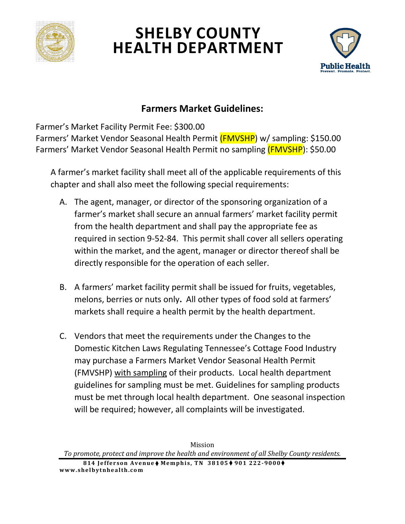

# **SHELBY COUNTY HEALTH DEPARTMENT**



# **Farmers Market Guidelines:**

Farmer's Market Facility Permit Fee: \$300.00

Farmers' Market Vendor Seasonal Health Permit (FMVSHP) w/ sampling: \$150.00 Farmers' Market Vendor Seasonal Health Permit no sampling (FMVSHP): \$50.00

A farmer's market facility shall meet all of the applicable requirements of this chapter and shall also meet the following special requirements:

- A. The agent, manager, or director of the sponsoring organization of a farmer's market shall secure an annual farmers' market facility permit from the health department and shall pay the appropriate fee as required in section 9-52-84. This permit shall cover all sellers operating within the market, and the agent, manager or director thereof shall be directly responsible for the operation of each seller.
- B. A farmers' market facility permit shall be issued for fruits, vegetables, melons, berries or nuts only**.** All other types of food sold at farmers' markets shall require a health permit by the health department.
- C. Vendors that meet the requirements under the Changes to the Domestic Kitchen Laws Regulating Tennessee's Cottage Food Industry may purchase a Farmers Market Vendor Seasonal Health Permit (FMVSHP) with sampling of their products. Local health department guidelines for sampling must be met. Guidelines for sampling products must be met through local health department. One seasonal inspection will be required; however, all complaints will be investigated.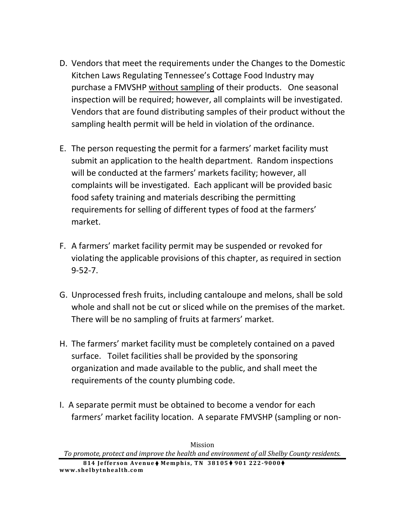- D. Vendors that meet the requirements under the Changes to the Domestic Kitchen Laws Regulating Tennessee's Cottage Food Industry may purchase a FMVSHP without sampling of their products. One seasonal inspection will be required; however, all complaints will be investigated. Vendors that are found distributing samples of their product without the sampling health permit will be held in violation of the ordinance.
- E. The person requesting the permit for a farmers' market facility must submit an application to the health department. Random inspections will be conducted at the farmers' markets facility; however, all complaints will be investigated. Each applicant will be provided basic food safety training and materials describing the permitting requirements for selling of different types of food at the farmers' market.
- F. A farmers' market facility permit may be suspended or revoked for violating the applicable provisions of this chapter, as required in section 9-52-7.
- G. Unprocessed fresh fruits, including cantaloupe and melons, shall be sold whole and shall not be cut or sliced while on the premises of the market. There will be no sampling of fruits at farmers' market.
- H. The farmers' market facility must be completely contained on a paved surface. Toilet facilities shall be provided by the sponsoring organization and made available to the public, and shall meet the requirements of the county plumbing code.
- I. A separate permit must be obtained to become a vendor for each farmers' market facility location. A separate FMVSHP (sampling or non-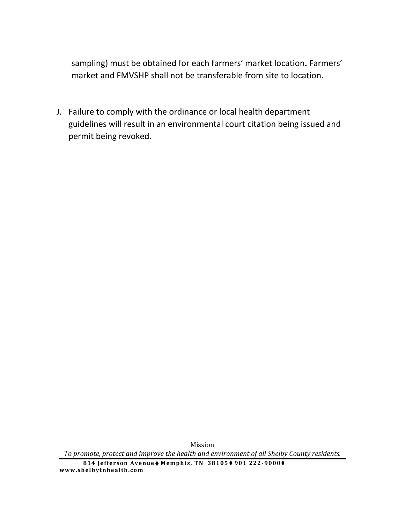sampling) must be obtained for each farmers' market location**.** Farmers' market and FMVSHP shall not be transferable from site to location.

J. Failure to comply with the ordinance or local health department guidelines will result in an environmental court citation being issued and permit being revoked.

Mission *To promote, protect and improve the health and environment of all Shelby County residents.*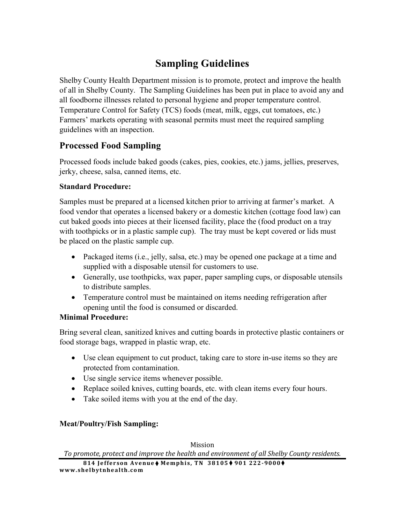# **Sampling Guidelines**

Shelby County Health Department mission is to promote, protect and improve the health of all in Shelby County. The Sampling Guidelines has been put in place to avoid any and all foodborne illnesses related to personal hygiene and proper temperature control. Temperature Control for Safety (TCS) foods (meat, milk, eggs, cut tomatoes, etc.) Farmers' markets operating with seasonal permits must meet the required sampling guidelines with an inspection.

### **Processed Food Sampling**

Processed foods include baked goods (cakes, pies, cookies, etc.) jams, jellies, preserves, jerky, cheese, salsa, canned items, etc.

### **Standard Procedure:**

Samples must be prepared at a licensed kitchen prior to arriving at farmer's market. A food vendor that operates a licensed bakery or a domestic kitchen (cottage food law) can cut baked goods into pieces at their licensed facility, place the (food product on a tray with toothpicks or in a plastic sample cup). The tray must be kept covered or lids must be placed on the plastic sample cup.

- Packaged items (i.e., jelly, salsa, etc.) may be opened one package at a time and supplied with a disposable utensil for customers to use.
- Generally, use toothpicks, wax paper, paper sampling cups, or disposable utensils to distribute samples.
- Temperature control must be maintained on items needing refrigeration after opening until the food is consumed or discarded.

### **Minimal Procedure:**

Bring several clean, sanitized knives and cutting boards in protective plastic containers or food storage bags, wrapped in plastic wrap, etc.

- Use clean equipment to cut product, taking care to store in-use items so they are protected from contamination.
- Use single service items whenever possible.
- Replace soiled knives, cutting boards, etc. with clean items every four hours.
- Take soiled items with you at the end of the day.

### **Meat/Poultry/Fish Sampling:**

Mission

*To promote, protect and improve the health and environment of all Shelby County residents.*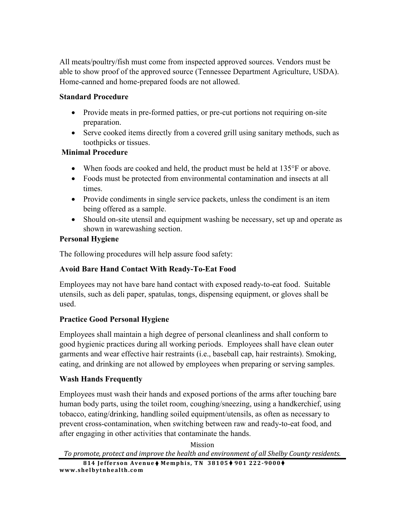All meats/poultry/fish must come from inspected approved sources. Vendors must be able to show proof of the approved source (Tennessee Department Agriculture, USDA). Home-canned and home-prepared foods are not allowed.

#### **Standard Procedure**

- Provide meats in pre-formed patties, or pre-cut portions not requiring on-site preparation.
- Serve cooked items directly from a covered grill using sanitary methods, such as toothpicks or tissues.

#### **Minimal Procedure**

- When foods are cooked and held, the product must be held at 135°F or above.
- Foods must be protected from environmental contamination and insects at all times.
- Provide condiments in single service packets, unless the condiment is an item being offered as a sample.
- Should on-site utensil and equipment washing be necessary, set up and operate as shown in warewashing section.

#### **Personal Hygiene**

The following procedures will help assure food safety:

#### **Avoid Bare Hand Contact With Ready-To-Eat Food**

Employees may not have bare hand contact with exposed ready-to-eat food. Suitable utensils, such as deli paper, spatulas, tongs, dispensing equipment, or gloves shall be used.

#### **Practice Good Personal Hygiene**

Employees shall maintain a high degree of personal cleanliness and shall conform to good hygienic practices during all working periods. Employees shall have clean outer garments and wear effective hair restraints (i.e., baseball cap, hair restraints). Smoking, eating, and drinking are not allowed by employees when preparing or serving samples.

#### **Wash Hands Frequently**

Employees must wash their hands and exposed portions of the arms after touching bare human body parts, using the toilet room, coughing/sneezing, using a handkerchief, using tobacco, eating/drinking, handling soiled equipment/utensils, as often as necessary to prevent cross-contamination, when switching between raw and ready-to-eat food, and after engaging in other activities that contaminate the hands.

Mission *To promote, protect and improve the health and environment of all Shelby County residents.*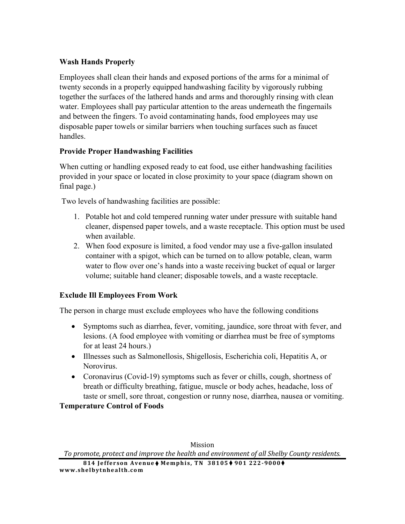#### **Wash Hands Properly**

Employees shall clean their hands and exposed portions of the arms for a minimal of twenty seconds in a properly equipped handwashing facility by vigorously rubbing together the surfaces of the lathered hands and arms and thoroughly rinsing with clean water. Employees shall pay particular attention to the areas underneath the fingernails and between the fingers. To avoid contaminating hands, food employees may use disposable paper towels or similar barriers when touching surfaces such as faucet handles.

#### **Provide Proper Handwashing Facilities**

When cutting or handling exposed ready to eat food, use either handwashing facilities provided in your space or located in close proximity to your space (diagram shown on final page.)

Two levels of handwashing facilities are possible:

- 1. Potable hot and cold tempered running water under pressure with suitable hand cleaner, dispensed paper towels, and a waste receptacle. This option must be used when available.
- 2. When food exposure is limited, a food vendor may use a five-gallon insulated container with a spigot, which can be turned on to allow potable, clean, warm water to flow over one's hands into a waste receiving bucket of equal or larger volume; suitable hand cleaner; disposable towels, and a waste receptacle.

#### **Exclude Ill Employees From Work**

The person in charge must exclude employees who have the following conditions

- Symptoms such as diarrhea, fever, vomiting, jaundice, sore throat with fever, and lesions. (A food employee with vomiting or diarrhea must be free of symptoms for at least 24 hours.)
- Illnesses such as Salmonellosis, Shigellosis, Escherichia coli, Hepatitis A, or Norovirus.
- Coronavirus (Covid-19) symptoms such as fever or chills, cough, shortness of breath or difficulty breathing, fatigue, muscle or body aches, headache, loss of taste or smell, sore throat, congestion or runny nose, diarrhea, nausea or vomiting.

**Temperature Control of Foods** 

Mission

*To promote, protect and improve the health and environment of all Shelby County residents.*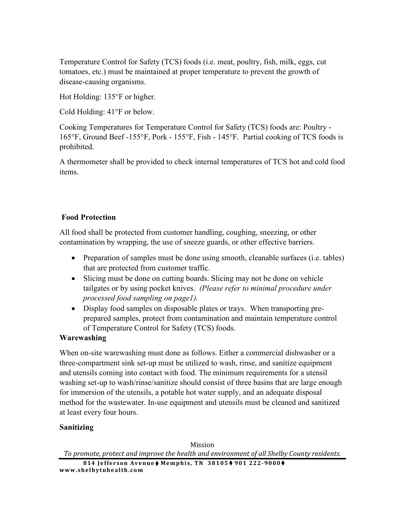Temperature Control for Safety (TCS) foods (i.e. meat, poultry, fish, milk, eggs, cut tomatoes, etc.) must be maintained at proper temperature to prevent the growth of disease-causing organisms.

Hot Holding: 135°F or higher.

Cold Holding: 41°F or below.

Cooking Temperatures for Temperature Control for Safety (TCS) foods are: Poultry - 165°F, Ground Beef -155°F, Pork - 155°F, Fish - 145°F. Partial cooking of TCS foods is prohibited.

A thermometer shall be provided to check internal temperatures of TCS hot and cold food items.

#### **Food Protection**

All food shall be protected from customer handling, coughing, sneezing, or other contamination by wrapping, the use of sneeze guards, or other effective barriers.

- Preparation of samples must be done using smooth, cleanable surfaces (i.e. tables) that are protected from customer traffic.
- Slicing must be done on cutting boards. Slicing may not be done on vehicle tailgates or by using pocket knives. *(Please refer to minimal procedure under processed food sampling on page1).*
- Display food samples on disposable plates or trays. When transporting preprepared samples, protect from contamination and maintain temperature control of Temperature Control for Safety (TCS) foods.

#### **Warewashing**

When on-site warewashing must done as follows. Either a commercial dishwasher or a three-compartment sink set-up must be utilized to wash, rinse, and sanitize equipment and utensils coming into contact with food. The minimum requirements for a utensil washing set-up to wash/rinse/sanitize should consist of three basins that are large enough for immersion of the utensils, a potable hot water supply, and an adequate disposal method for the wastewater. In-use equipment and utensils must be cleaned and sanitized at least every four hours.

#### **Sanitizing**

Mission *To promote, protect and improve the health and environment of all Shelby County residents.*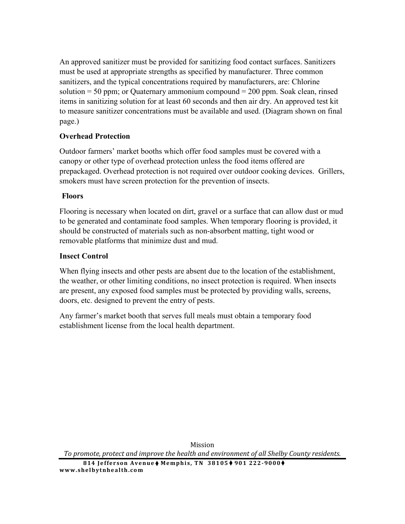An approved sanitizer must be provided for sanitizing food contact surfaces. Sanitizers must be used at appropriate strengths as specified by manufacturer. Three common sanitizers, and the typical concentrations required by manufacturers, are: Chlorine solution  $= 50$  ppm; or Quaternary ammonium compound  $= 200$  ppm. Soak clean, rinsed items in sanitizing solution for at least 60 seconds and then air dry. An approved test kit to measure sanitizer concentrations must be available and used. (Diagram shown on final page.)

#### **Overhead Protection**

Outdoor farmers' market booths which offer food samples must be covered with a canopy or other type of overhead protection unless the food items offered are prepackaged. Overhead protection is not required over outdoor cooking devices. Grillers, smokers must have screen protection for the prevention of insects.

#### **Floors**

Flooring is necessary when located on dirt, gravel or a surface that can allow dust or mud to be generated and contaminate food samples. When temporary flooring is provided, it should be constructed of materials such as non-absorbent matting, tight wood or removable platforms that minimize dust and mud.

### **Insect Control**

When flying insects and other pests are absent due to the location of the establishment, the weather, or other limiting conditions, no insect protection is required. When insects are present, any exposed food samples must be protected by providing walls, screens, doors, etc. designed to prevent the entry of pests.

Any farmer's market booth that serves full meals must obtain a temporary food establishment license from the local health department.

Mission *To promote, protect and improve the health and environment of all Shelby County residents.*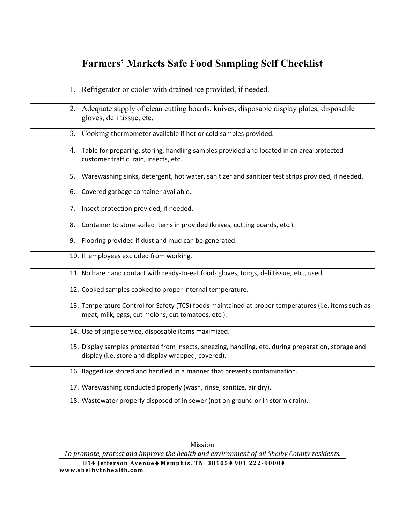# **Farmers' Markets Safe Food Sampling Self Checklist**

| 1. Refrigerator or cooler with drained ice provided, if needed.                                                                                            |
|------------------------------------------------------------------------------------------------------------------------------------------------------------|
| 2. Adequate supply of clean cutting boards, knives, disposable display plates, disposable<br>gloves, deli tissue, etc.                                     |
| 3. Cooking thermometer available if hot or cold samples provided.                                                                                          |
| 4. Table for preparing, storing, handling samples provided and located in an area protected<br>customer traffic, rain, insects, etc.                       |
| 5. Warewashing sinks, detergent, hot water, sanitizer and sanitizer test strips provided, if needed.                                                       |
| 6. Covered garbage container available.                                                                                                                    |
| 7. Insect protection provided, if needed.                                                                                                                  |
| 8. Container to store soiled items in provided (knives, cutting boards, etc.).                                                                             |
| 9. Flooring provided if dust and mud can be generated.                                                                                                     |
| 10. Ill employees excluded from working.                                                                                                                   |
| 11. No bare hand contact with ready-to-eat food- gloves, tongs, deli tissue, etc., used.                                                                   |
| 12. Cooked samples cooked to proper internal temperature.                                                                                                  |
| 13. Temperature Control for Safety (TCS) foods maintained at proper temperatures (i.e. items such as<br>meat, milk, eggs, cut melons, cut tomatoes, etc.). |
| 14. Use of single service, disposable items maximized.                                                                                                     |
| 15. Display samples protected from insects, sneezing, handling, etc. during preparation, storage and<br>display (i.e. store and display wrapped, covered). |
| 16. Bagged ice stored and handled in a manner that prevents contamination.                                                                                 |
| 17. Warewashing conducted properly (wash, rinse, sanitize, air dry).                                                                                       |
| 18. Wastewater properly disposed of in sewer (not on ground or in storm drain).                                                                            |

Mission

*To promote, protect and improve the health and environment of all Shelby County residents.*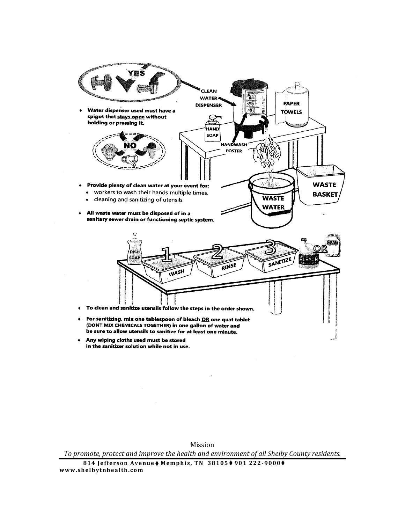

+ Any wiping cloths used must be stored in the sanitizer solution while not in use.

Mission

*To promote, protect and improve the health and environment of all Shelby County residents.*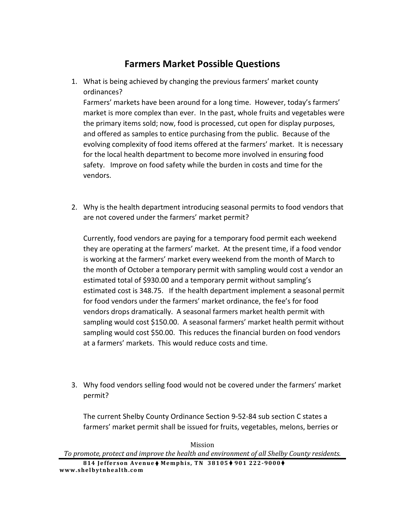## **Farmers Market Possible Questions**

1. What is being achieved by changing the previous farmers' market county ordinances?

Farmers' markets have been around for a long time. However, today's farmers' market is more complex than ever. In the past, whole fruits and vegetables were the primary items sold; now, food is processed, cut open for display purposes, and offered as samples to entice purchasing from the public. Because of the evolving complexity of food items offered at the farmers' market. It is necessary for the local health department to become more involved in ensuring food safety. Improve on food safety while the burden in costs and time for the vendors.

2. Why is the health department introducing seasonal permits to food vendors that are not covered under the farmers' market permit?

Currently, food vendors are paying for a temporary food permit each weekend they are operating at the farmers' market. At the present time, if a food vendor is working at the farmers' market every weekend from the month of March to the month of October a temporary permit with sampling would cost a vendor an estimated total of \$930.00 and a temporary permit without sampling's estimated cost is 348.75. If the health department implement a seasonal permit for food vendors under the farmers' market ordinance, the fee's for food vendors drops dramatically. A seasonal farmers market health permit with sampling would cost \$150.00. A seasonal farmers' market health permit without sampling would cost \$50.00. This reduces the financial burden on food vendors at a farmers' markets. This would reduce costs and time.

3. Why food vendors selling food would not be covered under the farmers' market permit?

The current Shelby County Ordinance Section 9-52-84 sub section C states a farmers' market permit shall be issued for fruits, vegetables, melons, berries or

Mission *To promote, protect and improve the health and environment of all Shelby County residents.*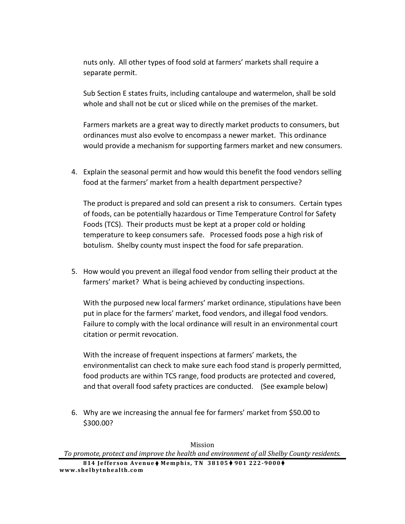nuts only. All other types of food sold at farmers' markets shall require a separate permit.

Sub Section E states fruits, including cantaloupe and watermelon, shall be sold whole and shall not be cut or sliced while on the premises of the market.

Farmers markets are a great way to directly market products to consumers, but ordinances must also evolve to encompass a newer market. This ordinance would provide a mechanism for supporting farmers market and new consumers.

4. Explain the seasonal permit and how would this benefit the food vendors selling food at the farmers' market from a health department perspective?

The product is prepared and sold can present a risk to consumers. Certain types of foods, can be potentially hazardous or Time Temperature Control for Safety Foods (TCS). Their products must be kept at a proper cold or holding temperature to keep consumers safe. Processed foods pose a high risk of botulism. Shelby county must inspect the food for safe preparation.

5. How would you prevent an illegal food vendor from selling their product at the farmers' market? What is being achieved by conducting inspections.

With the purposed new local farmers' market ordinance, stipulations have been put in place for the farmers' market, food vendors, and illegal food vendors. Failure to comply with the local ordinance will result in an environmental court citation or permit revocation.

With the increase of frequent inspections at farmers' markets, the environmentalist can check to make sure each food stand is properly permitted, food products are within TCS range, food products are protected and covered, and that overall food safety practices are conducted. (See example below)

6. Why are we increasing the annual fee for farmers' market from \$50.00 to \$300.00?

Mission *To promote, protect and improve the health and environment of all Shelby County residents.*